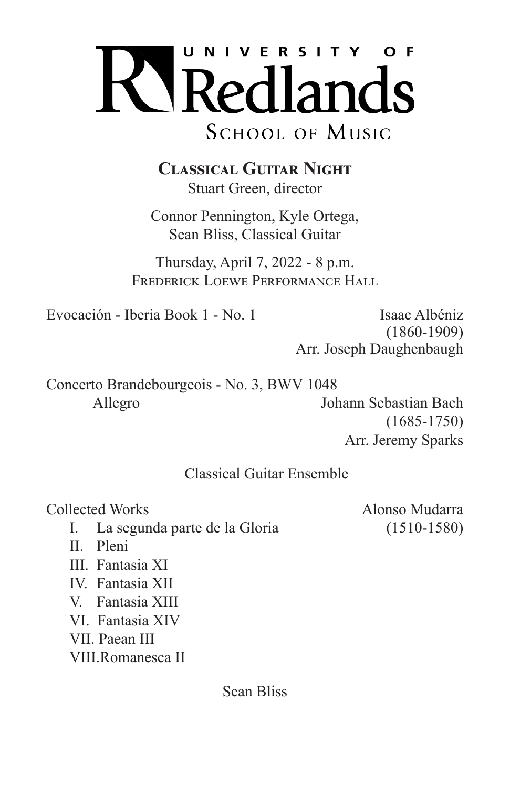

**Classical Guitar Night** Stuart Green, director

Connor Pennington, Kyle Ortega, Sean Bliss, Classical Guitar

Thursday, April 7, 2022 - 8 p.m. FREDERICK LOEWE PERFORMANCE HALL

Evocación - Iberia Book 1 - No. 1 [Saac Albéniz]

 (1860-1909) Arr. Joseph Daughenbaugh

Concerto Brandebourgeois - No. 3, BWV 1048 Allegro Johann Sebastian Bach (1685-1750)

Arr. Jeremy Sparks

## Classical Guitar Ensemble

Collected Works Alonso Mudarra

I. La segunda parte de la Gloria (1510-1580)

- 
- II. Pleni
- III. Fantasia XI
- IV. Fantasia XII
- V. Fantasia XIII
- VI. Fantasia XIV
- VII. Paean III
- VIII.Romanesca II

Sean Bliss